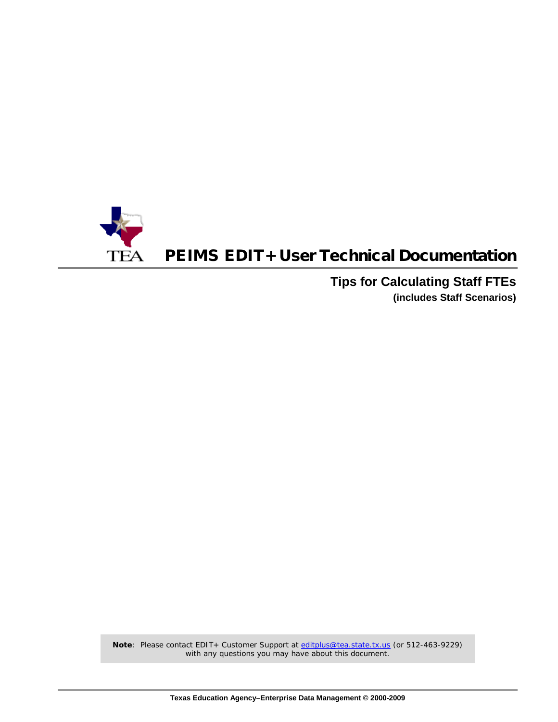

## PEIMS EDIT+ User Technical Documentation

**Tips for Calculating Staff FTEs (includes Staff Scenarios)**

Note: Please contact EDIT+ Customer Support at [editplus@tea.state.tx.us](mailto:editplus@tea.state.tx.us) (or 512-463-9229) with any questions you may have about this document.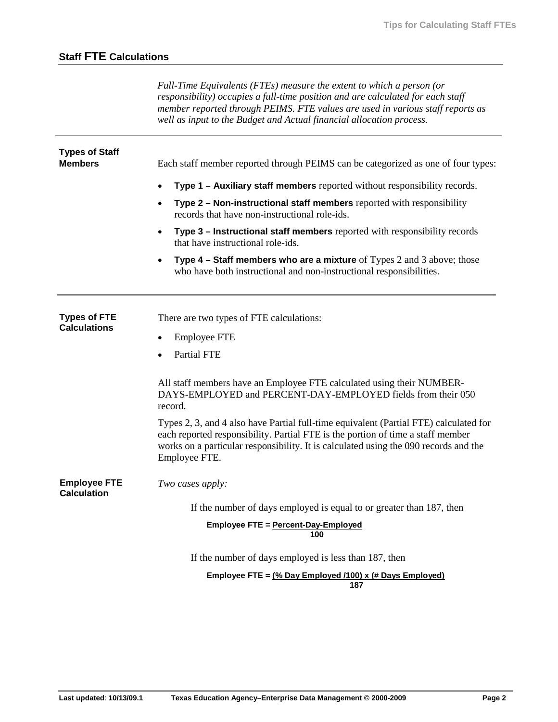*Full-Time Equivalents (FTEs) measure the extent to which a person (or responsibility) occupies a full-time position and are calculated for each staff member reported through PEIMS. FTE values are used in various staff reports as well as input to the Budget and Actual financial allocation process.*

| <b>Types of Staff</b><br><b>Members</b>    | Each staff member reported through PEIMS can be categorized as one of four types:                                                                                                                                                                                                 |
|--------------------------------------------|-----------------------------------------------------------------------------------------------------------------------------------------------------------------------------------------------------------------------------------------------------------------------------------|
|                                            | Type 1 – Auxiliary staff members reported without responsibility records.<br>$\bullet$                                                                                                                                                                                            |
|                                            | Type 2 - Non-instructional staff members reported with responsibility<br>records that have non-instructional role-ids.                                                                                                                                                            |
|                                            | Type 3 - Instructional staff members reported with responsibility records<br>$\bullet$<br>that have instructional role-ids.                                                                                                                                                       |
|                                            | Type $4$ – Staff members who are a mixture of Types 2 and 3 above; those<br>$\bullet$<br>who have both instructional and non-instructional responsibilities.                                                                                                                      |
| <b>Types of FTE</b><br><b>Calculations</b> | There are two types of FTE calculations:                                                                                                                                                                                                                                          |
|                                            | <b>Employee FTE</b><br>$\bullet$                                                                                                                                                                                                                                                  |
|                                            | <b>Partial FTE</b>                                                                                                                                                                                                                                                                |
|                                            | All staff members have an Employee FTE calculated using their NUMBER-<br>DAYS-EMPLOYED and PERCENT-DAY-EMPLOYED fields from their 050<br>record.                                                                                                                                  |
|                                            | Types 2, 3, and 4 also have Partial full-time equivalent (Partial FTE) calculated for<br>each reported responsibility. Partial FTE is the portion of time a staff member<br>works on a particular responsibility. It is calculated using the 090 records and the<br>Employee FTE. |
| <b>Employee FTE</b><br><b>Calculation</b>  | Two cases apply:                                                                                                                                                                                                                                                                  |
|                                            | If the number of days employed is equal to or greater than 187, then                                                                                                                                                                                                              |
|                                            | Employee FTE = Percent-Day-Employed<br>100                                                                                                                                                                                                                                        |
|                                            | If the number of days employed is less than 187, then                                                                                                                                                                                                                             |
|                                            | Employee FTE = $\frac{9}{6}$ Day Employed /100) x (# Days Employed)<br>187                                                                                                                                                                                                        |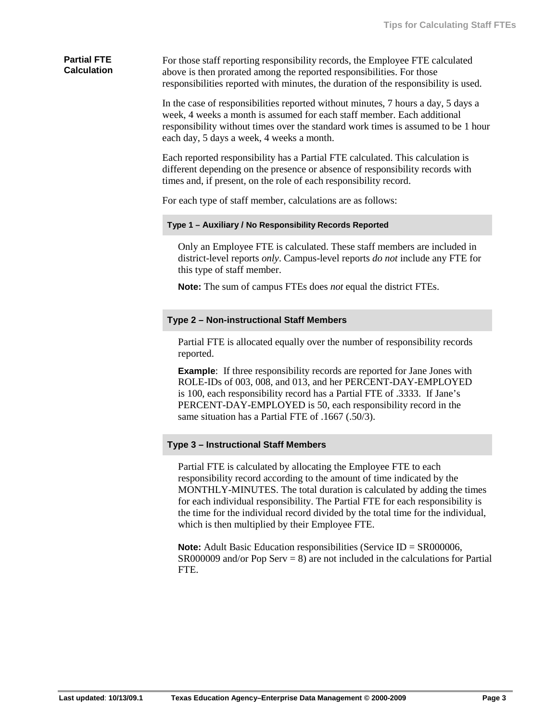### **Partial FTE Calculation**

For those staff reporting responsibility records, the Employee FTE calculated above is then prorated among the reported responsibilities. For those responsibilities reported with minutes, the duration of the responsibility is used.

In the case of responsibilities reported without minutes, 7 hours a day, 5 days a week, 4 weeks a month is assumed for each staff member. Each additional responsibility without times over the standard work times is assumed to be 1 hour each day, 5 days a week, 4 weeks a month.

Each reported responsibility has a Partial FTE calculated. This calculation is different depending on the presence or absence of responsibility records with times and, if present, on the role of each responsibility record.

For each type of staff member, calculations are as follows:

#### **Type 1 – Auxiliary / No Responsibility Records Reported**

Only an Employee FTE is calculated. These staff members are included in district-level reports *only*. Campus-level reports *do not* include any FTE for this type of staff member.

**Note:** The sum of campus FTEs does *not* equal the district FTEs.

### **Type 2 – Non-instructional Staff Members**

Partial FTE is allocated equally over the number of responsibility records reported.

**Example**: If three responsibility records are reported for Jane Jones with ROLE-IDs of 003, 008, and 013, and her PERCENT-DAY-EMPLOYED is 100, each responsibility record has a Partial FTE of .3333. If Jane's PERCENT-DAY-EMPLOYED is 50, each responsibility record in the same situation has a Partial FTE of .1667 (.50/3).

### **Type 3 – Instructional Staff Members**

Partial FTE is calculated by allocating the Employee FTE to each responsibility record according to the amount of time indicated by the MONTHLY-MINUTES. The total duration is calculated by adding the times for each individual responsibility. The Partial FTE for each responsibility is the time for the individual record divided by the total time for the individual, which is then multiplied by their Employee FTE.

**Note:** Adult Basic Education responsibilities (Service ID = SR000006,  $SR000009$  and/or Pop Serv = 8) are not included in the calculations for Partial FTE.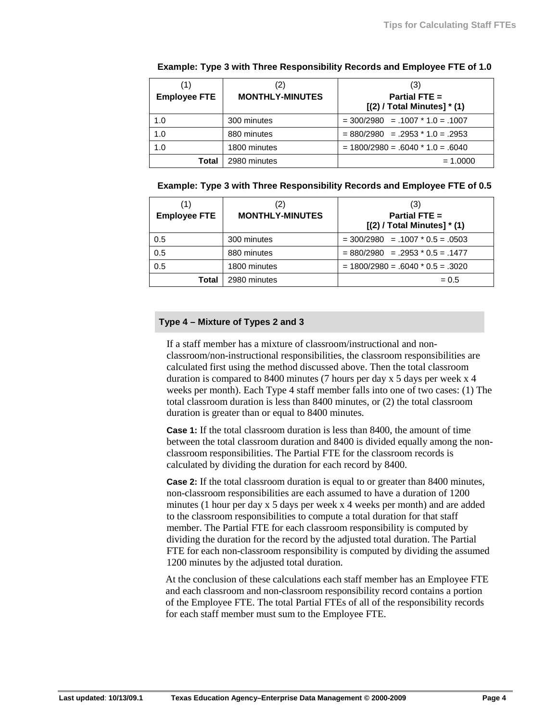| (1)<br><b>Employee FTE</b> | (2)<br><b>MONTHLY-MINUTES</b> | (3)<br>Partial FTE $=$<br>$[(2) / Total Minutes] * (1)$ |
|----------------------------|-------------------------------|---------------------------------------------------------|
| 1.0                        | 300 minutes                   | $=$ 300/2980 = .1007 $*$ 1.0 = .1007                    |
| 1.0                        | 880 minutes                   | $= 880/2980 = .2953 * 1.0 = .2953$                      |
| 1.0                        | 1800 minutes                  | $= 1800/2980 = .6040 * 1.0 = .6040$                     |
| Total                      | 2980 minutes                  | $= 1.0000$                                              |

### **Example: Type 3 with Three Responsibility Records and Employee FTE of 1.0**

### **Example: Type 3 with Three Responsibility Records and Employee FTE of 0.5**

| (1)<br><b>Employee FTE</b> | (2)<br><b>MONTHLY-MINUTES</b> | (3)<br>Partial FTE $=$<br>$[(2)$ / Total Minutes] $*$ (1) |
|----------------------------|-------------------------------|-----------------------------------------------------------|
| 0.5                        | 300 minutes                   | $=$ 300/2980 = .1007 $*$ 0.5 = .0503                      |
| 0.5                        | 880 minutes                   | $= 880/2980 = .2953 * 0.5 = .1477$                        |
| 0.5                        | 1800 minutes                  | $= 1800/2980 = .6040 * 0.5 = .3020$                       |
| Total                      | 2980 minutes                  | $= 0.5$                                                   |

### **Type 4 – Mixture of Types 2 and 3**

If a staff member has a mixture of classroom/instructional and nonclassroom/non-instructional responsibilities, the classroom responsibilities are calculated first using the method discussed above. Then the total classroom duration is compared to 8400 minutes (7 hours per day x 5 days per week x 4 weeks per month). Each Type 4 staff member falls into one of two cases: (1) The total classroom duration is less than 8400 minutes, or (2) the total classroom duration is greater than or equal to 8400 minutes.

**Case 1:** If the total classroom duration is less than 8400, the amount of time between the total classroom duration and 8400 is divided equally among the nonclassroom responsibilities. The Partial FTE for the classroom records is calculated by dividing the duration for each record by 8400.

**Case 2:** If the total classroom duration is equal to or greater than 8400 minutes, non-classroom responsibilities are each assumed to have a duration of 1200 minutes (1 hour per day x 5 days per week x 4 weeks per month) and are added to the classroom responsibilities to compute a total duration for that staff member. The Partial FTE for each classroom responsibility is computed by dividing the duration for the record by the adjusted total duration. The Partial FTE for each non-classroom responsibility is computed by dividing the assumed 1200 minutes by the adjusted total duration.

At the conclusion of these calculations each staff member has an Employee FTE and each classroom and non-classroom responsibility record contains a portion of the Employee FTE. The total Partial FTEs of all of the responsibility records for each staff member must sum to the Employee FTE.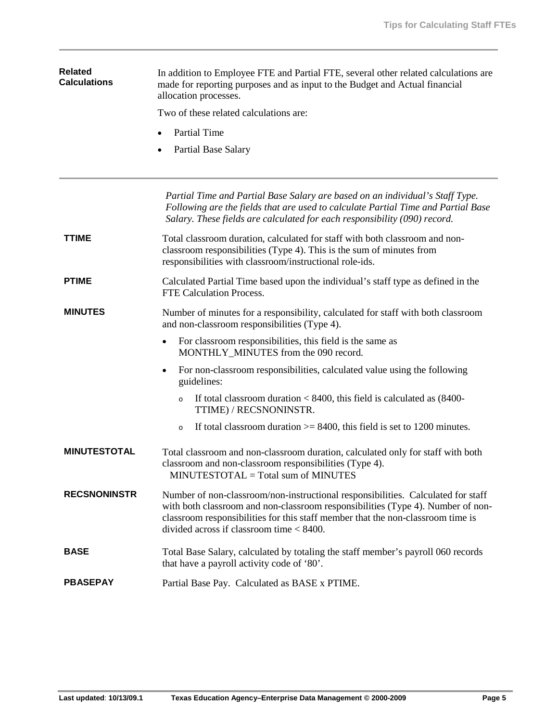| <b>Related</b><br><b>Calculations</b> | In addition to Employee FTE and Partial FTE, several other related calculations are<br>made for reporting purposes and as input to the Budget and Actual financial<br>allocation processes.                                                                                                           |  |  |  |  |  |  |  |  |  |  |  |  |
|---------------------------------------|-------------------------------------------------------------------------------------------------------------------------------------------------------------------------------------------------------------------------------------------------------------------------------------------------------|--|--|--|--|--|--|--|--|--|--|--|--|
|                                       | Two of these related calculations are:                                                                                                                                                                                                                                                                |  |  |  |  |  |  |  |  |  |  |  |  |
|                                       | <b>Partial Time</b>                                                                                                                                                                                                                                                                                   |  |  |  |  |  |  |  |  |  |  |  |  |
|                                       | Partial Base Salary                                                                                                                                                                                                                                                                                   |  |  |  |  |  |  |  |  |  |  |  |  |
|                                       | Partial Time and Partial Base Salary are based on an individual's Staff Type.<br>Following are the fields that are used to calculate Partial Time and Partial Base<br>Salary. These fields are calculated for each responsibility (090) record.                                                       |  |  |  |  |  |  |  |  |  |  |  |  |
| <b>TTIME</b>                          | Total classroom duration, calculated for staff with both classroom and non-<br>classroom responsibilities (Type 4). This is the sum of minutes from<br>responsibilities with classroom/instructional role-ids.                                                                                        |  |  |  |  |  |  |  |  |  |  |  |  |
| <b>PTIME</b>                          | Calculated Partial Time based upon the individual's staff type as defined in the<br><b>FTE Calculation Process.</b>                                                                                                                                                                                   |  |  |  |  |  |  |  |  |  |  |  |  |
| <b>MINUTES</b>                        | Number of minutes for a responsibility, calculated for staff with both classroom<br>and non-classroom responsibilities (Type 4).                                                                                                                                                                      |  |  |  |  |  |  |  |  |  |  |  |  |
|                                       | For classroom responsibilities, this field is the same as<br>$\bullet$<br>MONTHLY_MINUTES from the 090 record.                                                                                                                                                                                        |  |  |  |  |  |  |  |  |  |  |  |  |
|                                       | For non-classroom responsibilities, calculated value using the following<br>$\bullet$<br>guidelines:                                                                                                                                                                                                  |  |  |  |  |  |  |  |  |  |  |  |  |
|                                       | If total classroom duration $< 8400$ , this field is calculated as $(8400 -$<br>$\circ$<br>TTIME) / RECSNONINSTR.                                                                                                                                                                                     |  |  |  |  |  |  |  |  |  |  |  |  |
|                                       | If total classroom duration $\geq$ 8400, this field is set to 1200 minutes.<br>$\circ$                                                                                                                                                                                                                |  |  |  |  |  |  |  |  |  |  |  |  |
| <b>MINUTESTOTAL</b>                   | Total classroom and non-classroom duration, calculated only for staff with both<br>classroom and non-classroom responsibilities (Type 4).<br>MINUTESTOTAL = Total sum of MINUTES                                                                                                                      |  |  |  |  |  |  |  |  |  |  |  |  |
| <b>RECSNONINSTR</b>                   | Number of non-classroom/non-instructional responsibilities. Calculated for staff<br>with both classroom and non-classroom responsibilities (Type 4). Number of non-<br>classroom responsibilities for this staff member that the non-classroom time is<br>divided across if classroom time $< 8400$ . |  |  |  |  |  |  |  |  |  |  |  |  |
| <b>BASE</b>                           | Total Base Salary, calculated by totaling the staff member's payroll 060 records<br>that have a payroll activity code of '80'.                                                                                                                                                                        |  |  |  |  |  |  |  |  |  |  |  |  |
| <b>PBASEPAY</b>                       | Partial Base Pay. Calculated as BASE x PTIME.                                                                                                                                                                                                                                                         |  |  |  |  |  |  |  |  |  |  |  |  |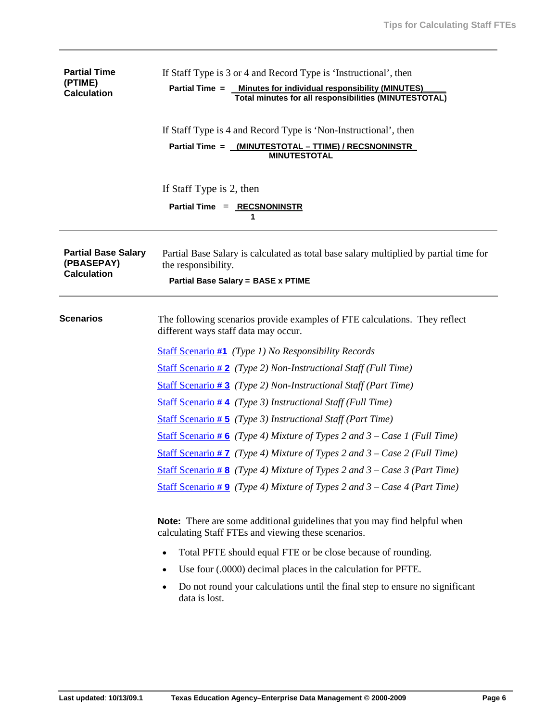| <b>Partial Time</b><br>(PTIME)<br><b>Calculation</b>           | If Staff Type is 3 or 4 and Record Type is 'Instructional', then<br>Partial Time = Minutes for individual responsibility (MINUTES)<br>Total minutes for all responsibilities (MINUTESTOTAL) |  |  |  |  |  |  |  |  |  |  |  |
|----------------------------------------------------------------|---------------------------------------------------------------------------------------------------------------------------------------------------------------------------------------------|--|--|--|--|--|--|--|--|--|--|--|
|                                                                | If Staff Type is 4 and Record Type is 'Non-Instructional', then<br>Partial Time = _(MINUTESTOTAL - TTIME) / RECSNONINSTR<br><b>MINUTESTOTAL</b>                                             |  |  |  |  |  |  |  |  |  |  |  |
|                                                                | If Staff Type is 2, then<br>Partial Time = RECSNONINSTR<br>1                                                                                                                                |  |  |  |  |  |  |  |  |  |  |  |
| <b>Partial Base Salary</b><br>(PBASEPAY)<br><b>Calculation</b> | Partial Base Salary is calculated as total base salary multiplied by partial time for<br>the responsibility.<br><b>Partial Base Salary = BASE x PTIME</b>                                   |  |  |  |  |  |  |  |  |  |  |  |
| <b>Scenarios</b>                                               | The following scenarios provide examples of FTE calculations. They reflect<br>different ways staff data may occur.                                                                          |  |  |  |  |  |  |  |  |  |  |  |
|                                                                | <b>Staff Scenario #1</b> (Type 1) No Responsibility Records                                                                                                                                 |  |  |  |  |  |  |  |  |  |  |  |
|                                                                | <b>Staff Scenario #2</b> (Type 2) Non-Instructional Staff (Full Time)                                                                                                                       |  |  |  |  |  |  |  |  |  |  |  |
|                                                                | <b>Staff Scenario #3</b> (Type 2) Non-Instructional Staff (Part Time)                                                                                                                       |  |  |  |  |  |  |  |  |  |  |  |
|                                                                | <b>Staff Scenario #4</b> (Type 3) Instructional Staff (Full Time)                                                                                                                           |  |  |  |  |  |  |  |  |  |  |  |
|                                                                | <b>Staff Scenario #5</b> (Type 3) Instructional Staff (Part Time)                                                                                                                           |  |  |  |  |  |  |  |  |  |  |  |
|                                                                | <b>Staff Scenario #6</b> (Type 4) Mixture of Types 2 and $3 - Case 1$ (Full Time)                                                                                                           |  |  |  |  |  |  |  |  |  |  |  |
|                                                                | <b>Staff Scenario #7</b> (Type 4) Mixture of Types 2 and $3 - Case 2$ (Full Time)                                                                                                           |  |  |  |  |  |  |  |  |  |  |  |
|                                                                | Staff Scenario #8 (Type 4) Mixture of Types 2 and $3 - Case 3$ (Part Time)                                                                                                                  |  |  |  |  |  |  |  |  |  |  |  |
|                                                                | <b>Staff Scenario #9</b> (Type 4) Mixture of Types 2 and $3 - Case 4$ (Part Time)                                                                                                           |  |  |  |  |  |  |  |  |  |  |  |
|                                                                | <b>Note:</b> There are some additional guidelines that you may find helpful when<br>calculating Staff FTEs and viewing these scenarios.                                                     |  |  |  |  |  |  |  |  |  |  |  |
|                                                                | Total PFTE should equal FTE or be close because of rounding.                                                                                                                                |  |  |  |  |  |  |  |  |  |  |  |
|                                                                | Use four (.0000) decimal places in the calculation for PFTE.                                                                                                                                |  |  |  |  |  |  |  |  |  |  |  |
|                                                                | Do not round your calculations until the final step to ensure no significant                                                                                                                |  |  |  |  |  |  |  |  |  |  |  |

• Do not round your calculations until the final step to ensure no significant data is lost.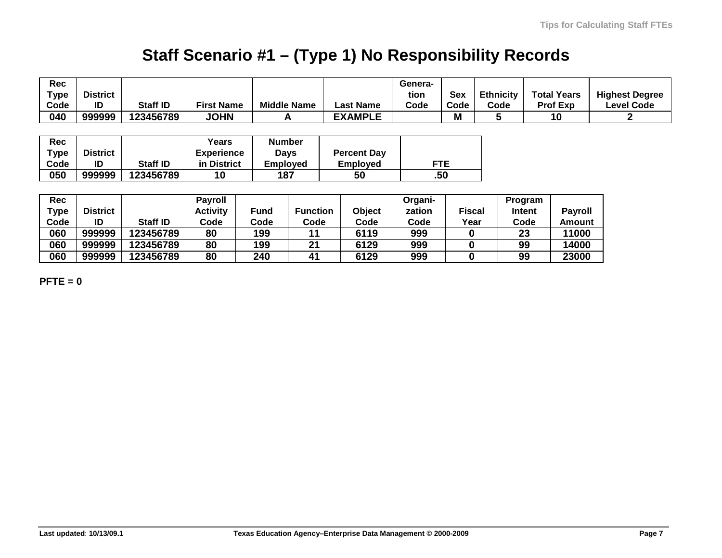# **Staff Scenario #1 – (Type 1) No Responsibility Records**

| Rec<br><b>Type</b><br>Code | <b>District</b><br>ID | Staff ID        | <b>First Name</b> | <b>Middle Name</b> | <b>Last Name</b>   | Genera-<br>tion<br>Code | <b>Sex</b><br>Code | <b>Ethnicity</b><br>Code | <b>Total Years</b><br><b>Prof Exp</b> | <b>Highest Degree</b><br><b>Level Code</b> |
|----------------------------|-----------------------|-----------------|-------------------|--------------------|--------------------|-------------------------|--------------------|--------------------------|---------------------------------------|--------------------------------------------|
| 040                        | 999999                | 123456789       | <b>JOHN</b>       |                    | <b>EXAMPLE</b>     |                         | M                  |                          | 10                                    |                                            |
| Rec                        |                       |                 | Years             | <b>Number</b>      |                    |                         |                    |                          |                                       |                                            |
|                            |                       |                 |                   |                    |                    |                         |                    |                          |                                       |                                            |
| Type                       | <b>District</b>       |                 | <b>Experience</b> | <b>Days</b>        | <b>Percent Day</b> |                         |                    |                          |                                       |                                            |
| Code                       | ID                    | <b>Staff ID</b> | in District       | <b>Employed</b>    | <b>Employed</b>    |                         | <b>FTE</b>         |                          |                                       |                                            |
| 050                        | 999999                | 123456789       | 10                | 187                | 50                 |                         | .50                |                          |                                       |                                            |

| Rec<br>Type | <b>District</b> |                 | <b>Payroll</b><br><b>Activity</b> | <b>Fund</b> | <b>Function</b> | Object | Organi-<br>zation | Fiscal | Program<br>Intent | <b>Pavroll</b> |
|-------------|-----------------|-----------------|-----------------------------------|-------------|-----------------|--------|-------------------|--------|-------------------|----------------|
| Code        | ID              | <b>Staff ID</b> | Code                              | Code        | Code            | Code   | Code              | Year   | Code              | Amount         |
| 060         | 999999          | 123456789       | 80                                | 199         |                 | 6119   | 999               |        | 23                | 11000          |
| 060         | 999999          | 123456789       | 80                                | 199         | 21              | 6129   | 999               |        | 99                | 14000          |
| 060         | 999999          | 123456789       | 80                                | 240         | 41              | 6129   | 999               |        | 99                | 23000          |

**PFTE = 0**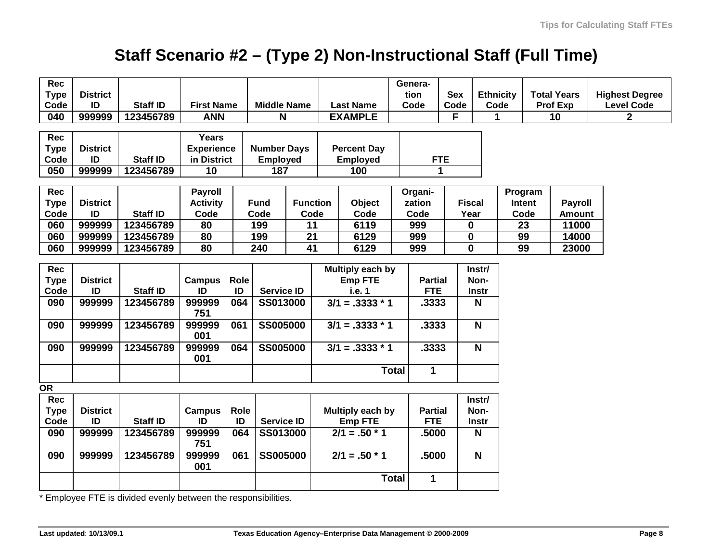# **Staff Scenario #2 – (Type 2) Non-Instructional Staff (Full Time)**

| Rec             |                       |                                                               |                     |      |                    |                   |  |                    | Genera-      |                |                         |                  |                 |                    |                       |
|-----------------|-----------------------|---------------------------------------------------------------|---------------------|------|--------------------|-------------------|--|--------------------|--------------|----------------|-------------------------|------------------|-----------------|--------------------|-----------------------|
| <b>Type</b>     | <b>District</b>       |                                                               |                     |      |                    |                   |  |                    | tion         | <b>Sex</b>     |                         | <b>Ethnicity</b> |                 | <b>Total Years</b> | <b>Highest Degree</b> |
| Code            | ID                    | Staff ID                                                      | <b>First Name</b>   |      | <b>Middle Name</b> |                   |  | <b>Last Name</b>   | Code         | Code           |                         | Code             |                 | <b>Prof Exp</b>    | <b>Level Code</b>     |
| 040             | 999999                | 123456789                                                     | <b>ANN</b>          |      | N                  |                   |  | <b>EXAMPLE</b>     |              | F              |                         |                  |                 | 10                 | $\overline{2}$        |
|                 |                       |                                                               |                     |      |                    |                   |  |                    |              |                |                         |                  |                 |                    |                       |
| Rec             |                       |                                                               | Years               |      |                    |                   |  |                    |              |                |                         |                  |                 |                    |                       |
| <b>Type</b>     | <b>District</b>       |                                                               | <b>Experience</b>   |      | <b>Number Days</b> |                   |  | <b>Percent Day</b> |              |                |                         |                  |                 |                    |                       |
| Code            | ID                    | <b>Staff ID</b>                                               | in District         |      | <b>Employed</b>    |                   |  | <b>Employed</b>    | <b>FTE</b>   |                |                         |                  |                 |                    |                       |
| 050             | 999999                | 123456789                                                     | 10                  |      | 187                |                   |  | 100                |              | 1              |                         |                  |                 |                    |                       |
|                 |                       |                                                               |                     |      |                    |                   |  |                    |              |                |                         |                  |                 |                    |                       |
| <b>Rec</b>      |                       |                                                               | <b>Payroll</b>      |      |                    |                   |  |                    | Organi-      |                |                         |                  | Program         |                    |                       |
| <b>Type</b>     | <b>District</b>       |                                                               | <b>Activity</b>     |      | <b>Fund</b>        | <b>Function</b>   |  | Object             | zation       |                | <b>Fiscal</b>           |                  | Intent          | <b>Payroll</b>     |                       |
| Code            | ID                    | <b>Staff ID</b>                                               | Code                |      | Code               | Code              |  | Code               | Code         |                | Year                    |                  | Code            | <b>Amount</b>      |                       |
| 060             | 999999                | 123456789                                                     | 80                  |      | 199                | $\overline{11}$   |  | 6119               | 999          |                | $\bf{0}$                |                  | $\overline{23}$ | 11000              |                       |
| 060             | 999999                | 123456789                                                     | 80                  |      | 199                | 21                |  | 6129               | 999          |                | $\bf{0}$                |                  | 99              | 14000              |                       |
| 060             | 999999                | 123456789                                                     | 80                  |      | 240<br>41          |                   |  | 6129               | 999          | $\mathbf 0$    |                         |                  | 99              | 23000              |                       |
|                 |                       |                                                               |                     |      |                    |                   |  |                    |              |                |                         |                  |                 |                    |                       |
| <b>Rec</b>      |                       |                                                               |                     |      |                    |                   |  | Multiply each by   |              |                | Instr/                  |                  |                 |                    |                       |
| <b>Type</b>     | <b>District</b>       |                                                               | Campus              | Role |                    |                   |  | <b>Emp FTE</b>     |              | <b>Partial</b> | Non-                    |                  |                 |                    |                       |
| Code            | ID                    | <b>Staff ID</b>                                               | ID                  | ID   |                    | <b>Service ID</b> |  | i.e. 1             |              | <b>FTE</b>     | Instr                   |                  |                 |                    |                       |
| 090             | 999999                | 123456789                                                     | 999999              | 064  | SS013000           |                   |  | $3/1 = .3333 * 1$  |              | .3333          | N                       |                  |                 |                    |                       |
|                 |                       |                                                               | 751                 |      |                    |                   |  |                    |              |                |                         |                  |                 |                    |                       |
| 090             | 999999                | 123456789                                                     | 999999              | 061  | <b>SS005000</b>    |                   |  | $3/1 = .3333 * 1$  |              | .3333          | $\overline{\mathsf{N}}$ |                  |                 |                    |                       |
|                 |                       |                                                               | 001                 |      |                    |                   |  |                    |              |                |                         |                  |                 |                    |                       |
| 090             | 999999                | 123456789                                                     | 999999              | 064  | <b>SS005000</b>    |                   |  | $3/1 = .3333 * 1$  |              | .3333          | N                       |                  |                 |                    |                       |
|                 |                       |                                                               | 001                 |      |                    |                   |  |                    |              |                |                         |                  |                 |                    |                       |
|                 |                       |                                                               |                     |      |                    |                   |  |                    | <b>Total</b> | $\mathbf{1}$   |                         |                  |                 |                    |                       |
| $\overline{OR}$ |                       |                                                               |                     |      |                    |                   |  |                    |              |                |                         |                  |                 |                    |                       |
| Rec             |                       |                                                               |                     |      |                    |                   |  |                    |              |                | Instr/                  |                  |                 |                    |                       |
|                 |                       |                                                               |                     | Role |                    |                   |  |                    |              |                | Non-                    |                  |                 |                    |                       |
| <b>Type</b>     | <b>District</b><br>ID | <b>Staff ID</b>                                               | <b>Campus</b><br>ID |      |                    |                   |  | Multiply each by   |              | <b>Partial</b> |                         |                  |                 |                    |                       |
| Code            |                       |                                                               |                     | ID   | <b>Service ID</b>  |                   |  | <b>Emp FTE</b>     |              | <b>FTE</b>     | Instr                   |                  |                 |                    |                       |
| 090             | 999999                | 123456789                                                     | 999999<br>751       | 064  | SS013000           |                   |  | $2/1 = .50 * 1$    |              | .5000          | N                       |                  |                 |                    |                       |
|                 |                       |                                                               |                     |      |                    |                   |  |                    |              |                | $\overline{\mathsf{N}}$ |                  |                 |                    |                       |
| 090             | 999999                | 123456789                                                     | 999999<br>001       | 061  | <b>SS005000</b>    |                   |  | $2/1 = .50 * 1$    |              | .5000          |                         |                  |                 |                    |                       |
|                 |                       |                                                               |                     |      |                    |                   |  |                    |              |                |                         |                  |                 |                    |                       |
|                 |                       |                                                               |                     |      |                    |                   |  |                    | <b>Total</b> | 1              |                         |                  |                 |                    |                       |
|                 |                       | * Employee ETE is divided evenly between the responsibilities |                     |      |                    |                   |  |                    |              |                |                         |                  |                 |                    |                       |

is divided evenly between the responsibilities.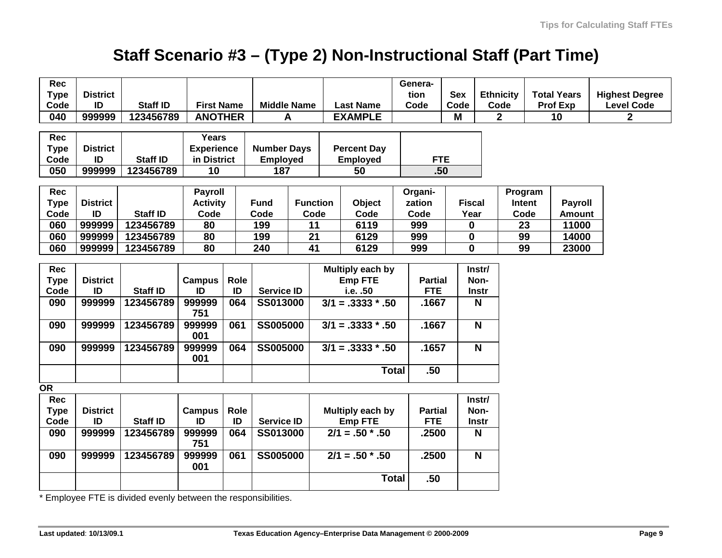## **Staff Scenario #3 – (Type 2) Non-Instructional Staff (Part Time)**

| Rec<br><b>Type</b> | <b>District</b> |                                                                                  |                   |      |                    |                 |                     |                     | Genera-<br>tion | <b>Sex</b>    |                         | <b>Ethnicity</b> |        | <b>Total Years</b> | <b>Highest Degree</b> |
|--------------------|-----------------|----------------------------------------------------------------------------------|-------------------|------|--------------------|-----------------|---------------------|---------------------|-----------------|---------------|-------------------------|------------------|--------|--------------------|-----------------------|
| Code               | ID              | <b>Staff ID</b>                                                                  | <b>First Name</b> |      | <b>Middle Name</b> |                 |                     | <b>Last Name</b>    | Code            | Code          |                         | Code             |        | <b>Prof Exp</b>    | <b>Level Code</b>     |
| 040                | 999999          | 123456789                                                                        | <b>ANOTHER</b>    |      | A                  |                 |                     | <b>EXAMPLE</b>      |                 | M             |                         | $\mathbf{2}$     |        | 10                 | $\mathbf{2}$          |
| Rec                |                 |                                                                                  | Years             |      |                    |                 |                     |                     |                 |               |                         |                  |        |                    |                       |
| <b>Type</b>        | <b>District</b> |                                                                                  | <b>Experience</b> |      | <b>Number Days</b> |                 |                     | <b>Percent Day</b>  |                 |               |                         |                  |        |                    |                       |
| Code               | ID              | <b>Staff ID</b>                                                                  | in District       |      | <b>Employed</b>    |                 | <b>Employed</b>     |                     | <b>FTE</b>      |               |                         |                  |        |                    |                       |
| 050                | 999999          | 123456789                                                                        | 10                |      | $\overline{187}$   |                 |                     | $\overline{50}$     | .50             |               |                         |                  |        |                    |                       |
|                    |                 |                                                                                  |                   |      |                    |                 |                     |                     |                 |               |                         |                  |        |                    |                       |
| Rec                |                 |                                                                                  | <b>Payroll</b>    |      |                    |                 |                     |                     | Organi-         |               |                         | Program          |        |                    |                       |
| <b>Type</b>        | <b>District</b> |                                                                                  | <b>Activity</b>   |      | <b>Fund</b>        | <b>Function</b> |                     | Object              | zation          | <b>Fiscal</b> |                         |                  | Intent | <b>Payroll</b>     |                       |
| Code               | ID              | Staff ID                                                                         | Code              |      | Code               | Code            |                     | Code                | Code            | Year          |                         |                  | Code   | <b>Amount</b>      |                       |
| 060                | 999999          | 123456789                                                                        | 80                |      | 199                | 11              |                     | 6119                | 999             | 0             |                         |                  | 23     | 11000              |                       |
| 060                | 999999          | 123456789                                                                        | 80                |      | 199                | $\overline{21}$ |                     | 6129                | 999             | $\bf{0}$      |                         | 99               |        | 14000              |                       |
| 060                | 999999          | 123456789                                                                        | 80                |      | 240                | 41              |                     | 6129                | 999             | $\bf{0}$      |                         | 99               |        | 23000              |                       |
| Rec                |                 |                                                                                  |                   |      |                    |                 |                     | Multiply each by    |                 |               | Instr/                  |                  |        |                    |                       |
| <b>Type</b>        | <b>District</b> |                                                                                  | Campus            | Role |                    |                 |                     | <b>Emp FTE</b>      | <b>Partial</b>  |               | Non-                    |                  |        |                    |                       |
| Code               | ID              | Staff ID                                                                         | ID                | ID   | <b>Service ID</b>  |                 |                     | i.e. .50            | <b>FTE</b>      |               | Instr                   |                  |        |                    |                       |
| 090                | 999999          | 123456789                                                                        | 999999            | 064  | <b>SS013000</b>    |                 | $3/1 = .3333 * .50$ |                     | .1667           |               | N                       |                  |        |                    |                       |
|                    |                 |                                                                                  | 751               |      |                    |                 |                     |                     |                 |               |                         |                  |        |                    |                       |
| 090                | 999999          | 123456789                                                                        | 999999<br>001     | 061  | <b>SS005000</b>    |                 |                     | $3/1 = .3333 * .50$ | .1667           |               | $\overline{\mathsf{N}}$ |                  |        |                    |                       |
| 090                | 999999          | 123456789                                                                        | 999999<br>001     | 064  | <b>SS005000</b>    |                 |                     | $3/1 = .3333 * .50$ | .1657           |               | $\mathbf N$             |                  |        |                    |                       |
|                    |                 |                                                                                  |                   |      |                    |                 |                     | <b>Total</b>        | .50             |               |                         |                  |        |                    |                       |
| <b>OR</b>          |                 |                                                                                  |                   |      |                    |                 |                     |                     |                 |               |                         |                  |        |                    |                       |
| <b>Rec</b>         |                 |                                                                                  |                   |      |                    |                 |                     |                     |                 |               | Instr/                  |                  |        |                    |                       |
| <b>Type</b>        | <b>District</b> |                                                                                  | <b>Campus</b>     | Role |                    |                 |                     | Multiply each by    | <b>Partial</b>  |               | Non-                    |                  |        |                    |                       |
| Code               | ID              | <b>Staff ID</b>                                                                  | ID                | ID   | <b>Service ID</b>  |                 |                     | <b>Emp FTE</b>      | <b>FTE</b>      |               | <b>Instr</b>            |                  |        |                    |                       |
| 090                | 999999          | 123456789                                                                        | 999999<br>751     | 064  | <b>SS013000</b>    |                 |                     | $2/1 = .50$ * .50   | .2500           |               | N                       |                  |        |                    |                       |
| 090                | 999999          | 123456789                                                                        | 999999<br>001     | 061  | <b>SS005000</b>    |                 |                     | $2/1 = .50$ * .50   | .2500           |               | $\overline{\mathsf{N}}$ |                  |        |                    |                       |
|                    |                 |                                                                                  |                   |      |                    |                 |                     | <b>Total</b>        | .50             |               |                         |                  |        |                    |                       |
|                    |                 | $\star$ Exambing a ETE is alimited appeal plate parameter than responsibilities. |                   |      |                    |                 |                     |                     |                 |               |                         |                  |        |                    |                       |

Employee FTE is divided evenly between the responsibilities.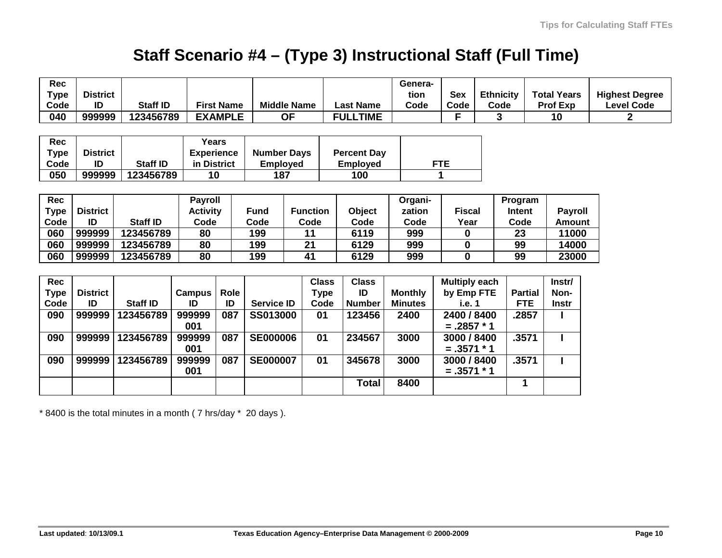## **Staff Scenario #4 – (Type 3) Instructional Staff (Full Time)**

| Rec         |                 |                 |                   |                   |                   |                    |                 |                    | Genera-        |                      |                  |                |                    |                       |
|-------------|-----------------|-----------------|-------------------|-------------------|-------------------|--------------------|-----------------|--------------------|----------------|----------------------|------------------|----------------|--------------------|-----------------------|
| <b>Type</b> | <b>District</b> |                 |                   |                   |                   |                    |                 |                    | tion           | <b>Sex</b>           | <b>Ethnicity</b> |                | <b>Total Years</b> | <b>Highest Degree</b> |
| Code        | ID              | <b>Staff ID</b> |                   | <b>First Name</b> |                   | <b>Middle Name</b> |                 | <b>Last Name</b>   | Code           | Code                 | Code             |                | Prof Exp           | <b>Level Code</b>     |
| 040         | 999999          | 123456789       |                   | <b>EXAMPLE</b>    |                   | <b>OF</b>          |                 | <b>FULLTIME</b>    |                | F                    |                  |                | 10                 | 2                     |
|             |                 |                 |                   |                   |                   |                    |                 |                    |                |                      |                  |                |                    |                       |
| Rec         |                 |                 | Years             |                   |                   |                    |                 |                    |                |                      |                  |                |                    |                       |
| Type        | <b>District</b> |                 | <b>Experience</b> |                   |                   | <b>Number Days</b> |                 | <b>Percent Day</b> |                |                      |                  |                |                    |                       |
| Code        | ID              | <b>Staff ID</b> | in District       |                   | <b>Employed</b>   |                    |                 | <b>Employed</b>    |                | <b>FTE</b>           |                  |                |                    |                       |
| 050         | 999999          | 123456789       | 10                |                   | 187               |                    |                 | 100                |                | 1                    |                  |                |                    |                       |
|             |                 |                 |                   |                   |                   |                    |                 |                    |                |                      |                  |                |                    |                       |
| Rec         |                 |                 | <b>Payroll</b>    |                   |                   |                    |                 |                    | Organi-        |                      |                  | Program        |                    |                       |
| Type        | <b>District</b> |                 | <b>Activity</b>   |                   | <b>Fund</b>       |                    | <b>Function</b> | Object             | zation         | <b>Fiscal</b>        |                  | Intent         | <b>Payroll</b>     |                       |
| Code        | ID              | <b>Staff ID</b> | Code              |                   | Code              |                    | Code            | Code               | Code           | Year                 |                  | Code           | <b>Amount</b>      |                       |
| 060         | 999999          | 123456789       | 80                |                   | 199               |                    | 11              | 6119               | 999            | $\bf{0}$             |                  | 23             | 11000              |                       |
| 060         | 999999          | 123456789       | 80                |                   | 199               |                    | 21              | 6129               | 999            | $\mathbf 0$          |                  | 99             | 14000              |                       |
| 060         | 999999          | 123456789       | 80                |                   | 199               |                    | 41              | 6129               | 999            | 0                    |                  | 99             | 23000              |                       |
|             |                 |                 |                   |                   |                   |                    |                 |                    |                |                      |                  |                |                    |                       |
| Rec         |                 |                 |                   |                   |                   |                    | <b>Class</b>    | <b>Class</b>       |                | <b>Multiply each</b> |                  |                | Instr/             |                       |
| Type        | <b>District</b> |                 | Campus            | Role              |                   |                    | <b>Type</b>     | ID                 | <b>Monthly</b> | by Emp FTE           |                  | <b>Partial</b> | Non-               |                       |
| Code        | ID              | <b>Staff ID</b> | ID                | ID                | <b>Service ID</b> |                    | Code            | <b>Number</b>      | <b>Minutes</b> | i.e. 1               |                  | <b>FTE</b>     | <b>Instr</b>       |                       |
| 090         | 999999          | 123456789       | 999999            | 087               | SS013000          |                    | 01              | 123456             | 2400           | 2400 / 8400          |                  | .2857          |                    |                       |
|             |                 |                 | 001               |                   |                   |                    |                 |                    |                | $=.2857 * 1$         |                  |                |                    |                       |
| 090         | 999999          | 123456789       | 999999            | 087               | <b>SE000006</b>   |                    | 01              | 234567             | 3000           | 3000 / 8400          |                  | .3571          |                    |                       |
|             |                 |                 | 001               |                   |                   |                    |                 |                    |                | $=.3571 * 1$         |                  |                |                    |                       |
| 090         | 999999          | 123456789       | 999999            | 087               | <b>SE000007</b>   |                    | 01              | 345678             | 3000           | 3000 / 8400          |                  | .3571          |                    |                       |
|             |                 |                 | 001               |                   |                   |                    |                 |                    |                | $=.3571 * 1$         |                  |                |                    |                       |
|             |                 |                 |                   |                   |                   |                    |                 | <b>Total</b>       | 8400           |                      |                  | 1              |                    |                       |
|             |                 |                 |                   |                   |                   |                    |                 |                    |                |                      |                  |                |                    |                       |

\* 8400 is the total minutes in a month ( 7 hrs/day \* 20 days ).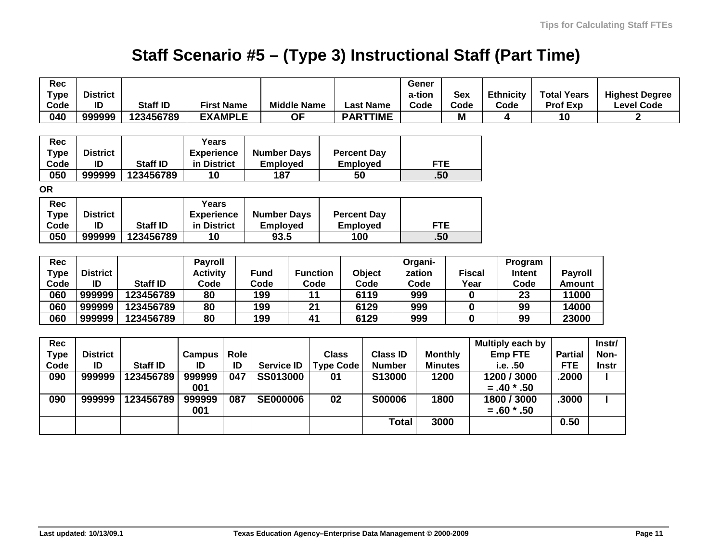## **Staff Scenario #5 – (Type 3) Instructional Staff (Part Time)**

| <b>Rec</b>  |                 |                 |                   |                |                    |                    |                  |                    |                  | Gener   |                    |                |                   |                  |  |                    |              |                       |  |  |
|-------------|-----------------|-----------------|-------------------|----------------|--------------------|--------------------|------------------|--------------------|------------------|---------|--------------------|----------------|-------------------|------------------|--|--------------------|--------------|-----------------------|--|--|
| <b>Type</b> | <b>District</b> |                 |                   |                |                    |                    |                  |                    |                  | a-tion  |                    | <b>Sex</b>     |                   | <b>Ethnicity</b> |  | <b>Total Years</b> |              | <b>Highest Degree</b> |  |  |
| Code        | ID              | <b>Staff ID</b> | <b>First Name</b> |                |                    | <b>Middle Name</b> |                  |                    | <b>Last Name</b> | Code    |                    | Code           |                   | Code             |  | <b>Prof Exp</b>    |              | <b>Level Code</b>     |  |  |
| 040         | 999999          | 123456789       |                   | <b>EXAMPLE</b> |                    | <b>OF</b>          |                  |                    | <b>PARTTIME</b>  |         |                    | M              |                   | 4                |  | 10                 |              | $\mathbf{2}$          |  |  |
|             |                 |                 |                   |                |                    |                    |                  |                    |                  |         |                    |                |                   |                  |  |                    |              |                       |  |  |
| Rec         |                 |                 | Years             |                |                    |                    |                  |                    |                  |         |                    |                |                   |                  |  |                    |              |                       |  |  |
| <b>Type</b> | <b>District</b> |                 | <b>Experience</b> |                | <b>Number Days</b> |                    |                  | <b>Percent Day</b> |                  |         |                    |                |                   |                  |  |                    |              |                       |  |  |
| Code        | ID              | <b>Staff ID</b> | in District       |                | <b>Employed</b>    |                    |                  | <b>Employed</b>    |                  |         | <b>FTE</b>         |                |                   |                  |  |                    |              |                       |  |  |
| 050         | 999999          | 123456789       | 10                |                | 187                |                    |                  | 50                 |                  |         | .50                |                |                   |                  |  |                    |              |                       |  |  |
| <b>OR</b>   |                 |                 |                   |                |                    |                    |                  |                    |                  |         |                    |                |                   |                  |  |                    |              |                       |  |  |
| <b>Rec</b>  |                 |                 | Years             |                |                    |                    |                  |                    |                  |         |                    |                |                   |                  |  |                    |              |                       |  |  |
| <b>Type</b> | <b>District</b> |                 | <b>Experience</b> |                | <b>Number Days</b> |                    |                  | <b>Percent Day</b> |                  |         |                    |                |                   |                  |  |                    |              |                       |  |  |
| Code        | ID              | <b>Staff ID</b> | in District       |                | <b>Employed</b>    |                    |                  |                    | <b>Employed</b>  |         | <b>FTE</b>         |                |                   |                  |  |                    |              |                       |  |  |
| 050         | 999999          | 123456789       | 10                |                | 93.5               |                    | 100              |                    |                  | .50     |                    |                |                   |                  |  |                    |              |                       |  |  |
|             |                 |                 |                   |                |                    |                    |                  |                    |                  |         |                    |                |                   |                  |  |                    |              |                       |  |  |
| <b>Rec</b>  |                 |                 | <b>Payroll</b>    |                |                    |                    |                  |                    |                  | Organi- |                    |                |                   | Program          |  |                    |              |                       |  |  |
| <b>Type</b> | <b>District</b> |                 | <b>Activity</b>   |                | <b>Fund</b>        |                    | <b>Function</b>  |                    | Object           | zation  |                    |                | <b>Fiscal</b>     | Intent           |  | <b>Payroll</b>     |              |                       |  |  |
| Code        | ID              | <b>Staff ID</b> | Code              |                | Code               |                    | Code             |                    | Code             |         | Code               |                | Year              | Code             |  | <b>Amount</b>      |              |                       |  |  |
| 060         | 999999          | 123456789       | $\overline{80}$   |                | 199                |                    | 11               |                    | 6119             |         | 999<br>$\mathbf 0$ |                | 23                |                  |  | 11000              |              |                       |  |  |
| 060         | 999999          | 123456789       | 80                |                | 199                |                    | 21               |                    | 6129             | 999     |                    |                | $\bf{0}$<br>99    |                  |  | 14000              |              |                       |  |  |
| 060         | 999999          | 123456789       | 80                |                | 199                |                    | $\overline{41}$  |                    | 6129             | 999     |                    |                | $\mathbf 0$       | 99               |  | 23000              |              |                       |  |  |
|             |                 |                 |                   |                |                    |                    |                  |                    |                  |         |                    |                |                   |                  |  |                    |              |                       |  |  |
| <b>Rec</b>  |                 |                 |                   |                |                    |                    |                  |                    |                  |         |                    |                |                   | Multiply each by |  |                    | Instr/       |                       |  |  |
| <b>Type</b> | <b>District</b> |                 | Campus            | Role           |                    |                    | <b>Class</b>     |                    | <b>Class ID</b>  |         |                    | <b>Monthly</b> |                   | <b>Emp FTE</b>   |  | <b>Partial</b>     | Non-         |                       |  |  |
| Code        | ID              | <b>Staff ID</b> | ID                | ID             | <b>Service ID</b>  |                    | <b>Type Code</b> |                    | <b>Number</b>    |         |                    | <b>Minutes</b> |                   | i.e. .50         |  | <b>FTE</b>         | <b>Instr</b> |                       |  |  |
| 090         | 999999          | 123456789       | 999999            | 047            | <b>SS013000</b>    |                    | 01               |                    | S13000           |         |                    | 1200           |                   | 1200 / 3000      |  | .2000              |              |                       |  |  |
|             |                 |                 | 001               |                |                    |                    |                  |                    |                  |         |                    |                |                   | $=.40*.50$       |  |                    |              |                       |  |  |
| 090         | 999999          | 123456789       | 999999            | 087            |                    | <b>SE000006</b>    |                  | 02                 | <b>S00006</b>    |         |                    | 1800           |                   | 1800 / 3000      |  | .3000              |              |                       |  |  |
|             |                 |                 | 001               |                |                    |                    |                  |                    |                  |         |                    |                |                   | $=.60*.50$       |  |                    |              |                       |  |  |
|             |                 |                 |                   |                |                    |                    |                  |                    |                  |         | <b>Total</b>       |                | $\overline{3}000$ |                  |  |                    |              | 0.50                  |  |  |
|             |                 |                 |                   |                |                    |                    |                  |                    |                  |         |                    |                |                   |                  |  |                    |              |                       |  |  |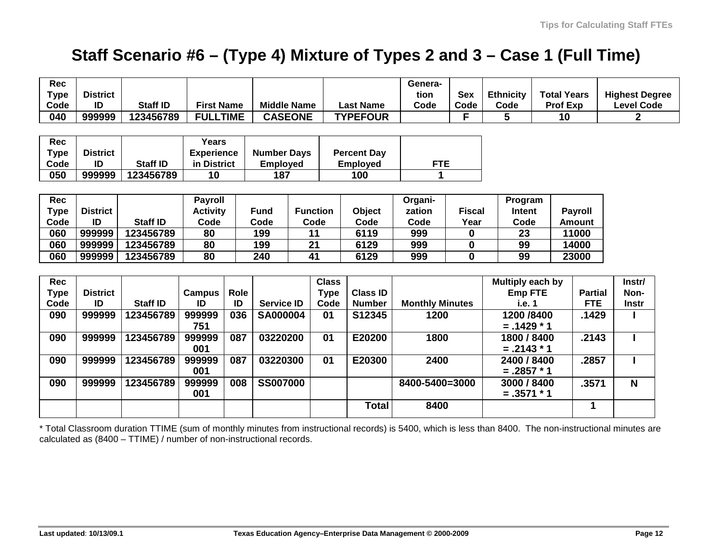## **Staff Scenario #6 – (Type 4) Mixture of Types 2 and 3 – Case 1 (Full Time)**

| <b>Rec</b>  |                 |                 |                   |      |                    |                    |              |                    | Genera-        |                        |                  |        |                    |                       |  |  |
|-------------|-----------------|-----------------|-------------------|------|--------------------|--------------------|--------------|--------------------|----------------|------------------------|------------------|--------|--------------------|-----------------------|--|--|
| <b>Type</b> | <b>District</b> |                 |                   |      |                    |                    |              |                    | tion           | <b>Sex</b>             | <b>Ethnicity</b> |        | <b>Total Years</b> | <b>Highest Degree</b> |  |  |
| Code        | ID              | <b>Staff ID</b> | <b>First Name</b> |      | <b>Middle Name</b> |                    |              | <b>Last Name</b>   | Code           | Code                   | Code             |        | <b>Prof Exp</b>    | <b>Level Code</b>     |  |  |
| 040         | 999999          | 123456789       | <b>FULLTIME</b>   |      | <b>CASEONE</b>     |                    |              | <b>TYPEFOUR</b>    |                | F.                     | 5                |        | 10                 | $\mathbf{2}$          |  |  |
|             |                 |                 |                   |      |                    |                    |              |                    |                |                        |                  |        |                    |                       |  |  |
| Rec         |                 |                 | Years             |      |                    |                    |              |                    |                |                        |                  |        |                    |                       |  |  |
| <b>Type</b> | <b>District</b> |                 | <b>Experience</b> |      |                    | <b>Number Days</b> |              | <b>Percent Day</b> |                |                        |                  |        |                    |                       |  |  |
| Code        | ID              | <b>Staff ID</b> | in District       |      | <b>Employed</b>    |                    |              | <b>Employed</b>    | <b>FTE</b>     |                        |                  |        |                    |                       |  |  |
| 050         | 999999          | 123456789       | 10                |      |                    | 187                |              | 100                | 1              |                        |                  |        |                    |                       |  |  |
|             |                 |                 |                   |      |                    |                    |              |                    |                |                        |                  |        |                    |                       |  |  |
| <b>Rec</b>  |                 |                 | <b>Payroll</b>    |      |                    |                    |              |                    |                |                        | Organi-          |        | Program            |                       |  |  |
| <b>Type</b> | <b>District</b> |                 | <b>Activity</b>   |      | <b>Fund</b>        | <b>Function</b>    |              | Object             | zation         | <b>Fiscal</b>          | <b>Intent</b>    |        | <b>Payroll</b>     |                       |  |  |
| Code        | ID              | <b>Staff ID</b> | Code              |      | Code               |                    | Code         | Code               | Code           | Year                   |                  | Code   | <b>Amount</b>      |                       |  |  |
| 060         | 999999          | 123456789       | 80                |      | 199                |                    | 11           | 6119               | 999            | 0                      |                  |        | 11000              |                       |  |  |
| 060         | 999999          | 123456789       | 80                |      | 199                |                    | 21           | 6129               | 999            | $\mathbf 0$            | 99               |        | 14000              |                       |  |  |
| 060         | 999999          | 123456789       | 80                |      | 240                | 41                 |              | 6129               | 999            | 0                      | 99               |        | 23000              |                       |  |  |
|             |                 |                 |                   |      |                    |                    |              |                    |                |                        |                  |        |                    |                       |  |  |
| <b>Rec</b>  |                 |                 |                   |      |                    |                    | <b>Class</b> |                    |                |                        | Multiply each by |        |                    | Instr/                |  |  |
| <b>Type</b> | <b>District</b> |                 | <b>Campus</b>     | Role |                    |                    | <b>Type</b>  | <b>Class ID</b>    |                |                        | <b>Emp FTE</b>   |        | <b>Partial</b>     | Non-                  |  |  |
| Code        | ID              | <b>Staff ID</b> | ID                | ID   | <b>Service ID</b>  |                    | Code         | <b>Number</b>      |                | <b>Monthly Minutes</b> |                  | i.e. 1 | <b>FTE</b>         | <b>Instr</b>          |  |  |
| 090         | 999999          | 123456789       | 999999            | 036  | <b>SA000004</b>    |                    | 01           | S12345             | 1200           |                        | 1200 / 8400      |        | .1429              |                       |  |  |
|             |                 |                 | 751               |      |                    |                    |              |                    |                |                        | $=.1429 * 1$     |        |                    |                       |  |  |
| 090         | 999999          | 123456789       | 999999            | 087  | 03220200           |                    | 01           | E20200             | 1800           |                        | 1800 / 8400      |        | .2143              |                       |  |  |
|             |                 |                 | 001               |      |                    |                    |              |                    |                |                        | $=.2143*1$       |        |                    |                       |  |  |
| 090         | 999999          | 123456789       | 999999            | 087  | 03220300           |                    | 01           | E20300             | 2400           |                        | 2400 / 8400      |        | .2857              |                       |  |  |
|             |                 |                 | 001               |      |                    |                    |              |                    |                |                        | $=.2857 * 1$     |        |                    |                       |  |  |
| 090         | 999999          | 123456789       | 999999            | 008  | <b>SS007000</b>    |                    |              |                    | 8400-5400=3000 |                        | 3000 / 8400      |        | .3571              | $\mathbf N$           |  |  |
|             |                 |                 | 001               |      |                    |                    |              |                    |                |                        | $=.3571 * 1$     |        |                    |                       |  |  |
|             |                 |                 |                   |      |                    |                    |              | <b>Total</b>       | 8400           |                        |                  |        | 1                  |                       |  |  |
|             |                 |                 |                   |      |                    |                    |              |                    |                |                        |                  |        |                    |                       |  |  |

\* Total Classroom duration TTIME (sum of monthly minutes from instructional records) is 5400, which is less than 8400. The non-instructional minutes are calculated as (8400 – TTIME) / number of non-instructional records.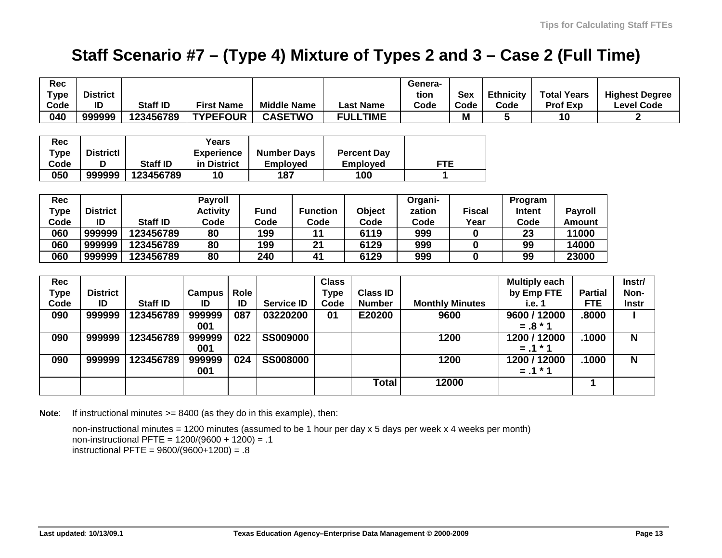## **Staff Scenario #7 – (Type 4) Mixture of Types 2 and 3 – Case 2 (Full Time)**

| Rec         |                  |                 |                   |      |                    |                 |                  |                    | Genera-                |               |                  |                      |                |                                  |
|-------------|------------------|-----------------|-------------------|------|--------------------|-----------------|------------------|--------------------|------------------------|---------------|------------------|----------------------|----------------|----------------------------------|
| <b>Type</b> | <b>District</b>  |                 |                   |      |                    |                 |                  |                    | tion                   | <b>Sex</b>    | <b>Ethnicity</b> | <b>Total Years</b>   |                | <b>Highest Degree</b>            |
| Code        | ID               | <b>Staff ID</b> | <b>First Name</b> |      | <b>Middle Name</b> |                 | <b>Last Name</b> |                    | Code                   | Code          | Code             | <b>Prof Exp</b>      |                | <b>Level Code</b>                |
| 040         | 999999           | 123456789       | <b>TYPEFOUR</b>   |      | <b>CASETWO</b>     |                 | <b>FULLTIME</b>  |                    |                        | M             | 5                | 10                   |                | $\overline{\mathbf{2}}$          |
|             |                  |                 |                   |      |                    |                 |                  |                    |                        |               |                  |                      |                |                                  |
| <b>Rec</b>  |                  |                 | <b>Years</b>      |      |                    |                 |                  |                    |                        |               |                  |                      |                |                                  |
| <b>Type</b> | <b>Districtl</b> |                 | <b>Experience</b> |      | <b>Number Days</b> |                 |                  | <b>Percent Day</b> |                        |               |                  |                      |                |                                  |
| Code        | D                | <b>Staff ID</b> | in District       |      | <b>Employed</b>    |                 |                  | <b>Employed</b>    |                        | <b>FTE</b>    |                  |                      |                |                                  |
| 050         | 999999           | 123456789       | 10                |      | 187                |                 |                  | 100                | 1                      |               |                  |                      |                |                                  |
|             |                  |                 |                   |      |                    |                 |                  |                    |                        |               |                  |                      |                |                                  |
| <b>Rec</b>  |                  |                 | <b>Payroll</b>    |      |                    |                 |                  |                    | Organi-                |               | Program          |                      |                |                                  |
| <b>Type</b> | <b>District</b>  |                 | <b>Activity</b>   |      | <b>Fund</b>        | <b>Function</b> |                  | Object             | zation                 | <b>Fiscal</b> | <b>Intent</b>    |                      | <b>Payroll</b> |                                  |
| Code        | ID               | <b>Staff ID</b> | Code              |      | Code               | Code            |                  | Code               | Code                   | Year          | Code             |                      | <b>Amount</b>  |                                  |
| 060         | 999999           | 123456789       | 80                |      | 199                |                 | 11               | 6119               | 999                    | 0             | 23               |                      | 11000          |                                  |
| 060         | 999999           | 123456789       | 80                |      | 199                |                 | 21               | 6129               | 999                    | 0             | 99               |                      | 14000          |                                  |
| 060         | 999999           | 123456789       | 80                |      | 240                | 41              |                  | 6129               | 999                    | 0             | 99               |                      | 23000          |                                  |
|             |                  |                 |                   |      |                    |                 |                  |                    |                        |               |                  |                      |                |                                  |
| <b>Rec</b>  |                  |                 |                   |      |                    |                 | <b>Class</b>     |                    |                        |               |                  | <b>Multiply each</b> |                | Instr/                           |
| <b>Type</b> | <b>District</b>  |                 | <b>Campus</b>     | Role |                    |                 | <b>Type</b>      | <b>Class ID</b>    |                        |               |                  | by Emp FTE           | <b>Partial</b> | Non-                             |
| Code        | ID               | <b>Staff ID</b> | ID                | ID   | <b>Service ID</b>  |                 | Code             | <b>Number</b>      | <b>Monthly Minutes</b> |               | i.e. 1           |                      | <b>FTE</b>     | <b>Instr</b>                     |
| 090         | 999999           | 123456789       | 999999            | 087  | 03220200           |                 | 01               | E20200             |                        | 9600          |                  | 9600 / 12000         | .8000          |                                  |
|             |                  |                 | 001               |      |                    |                 |                  |                    |                        |               |                  | $=.8 * 1$            |                |                                  |
| 090         | 999999           | 123456789       | 999999            | 022  | <b>SS009000</b>    |                 |                  |                    |                        | 1200          |                  | 1200 / 12000         | .1000          | $\overline{\mathsf{N}}$          |
|             |                  |                 | 001               |      |                    |                 |                  |                    |                        |               |                  | $=.1 * 1$            |                |                                  |
| 090         | 999999           | 123456789       | 999999            | 024  | <b>SS008000</b>    |                 |                  |                    |                        | 1200          |                  | 1200 / 12000         |                | $\overline{\mathsf{N}}$<br>.1000 |
|             |                  |                 | 001               |      |                    |                 |                  |                    |                        |               |                  | $=.1 * 1$            |                |                                  |
|             |                  |                 |                   |      |                    |                 |                  | <b>Total</b>       |                        | 12000         |                  |                      | 1              |                                  |
|             |                  |                 |                   |      |                    |                 |                  |                    |                        |               |                  |                      |                |                                  |

**Note:** If instructional minutes >= 8400 (as they do in this example), then:

non-instructional minutes = 1200 minutes (assumed to be 1 hour per day x 5 days per week x 4 weeks per month) non-instructional PFTE = 1200/(9600 + 1200) = .1 instructional PFTE = 9600/(9600+1200) = .8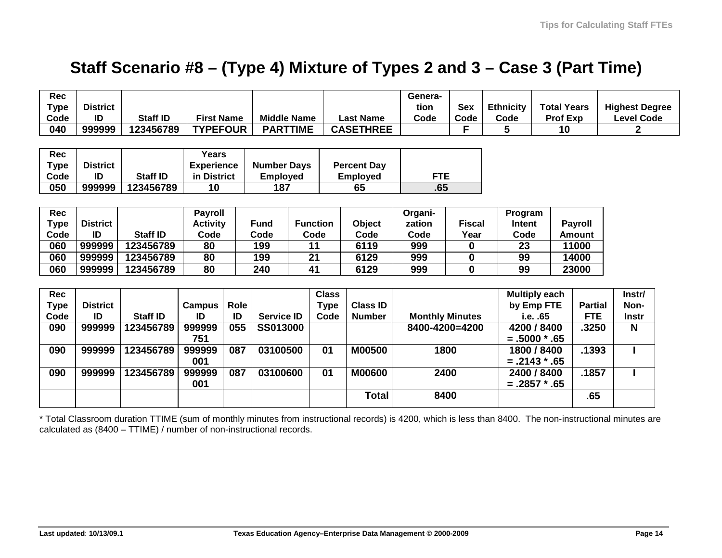### **Staff Scenario #8 – (Type 4) Mixture of Types 2 and 3 – Case 3 (Part Time)**

| <b>Rec</b><br><b>Type</b><br>Code | <b>District</b><br>ID | <b>Staff ID</b> | <b>First Name</b> |      | <b>Middle Name</b> |                 |                 | <b>Last Name</b>   | Genera-<br>tion<br>Code | <b>Sex</b><br>Code     | <b>Ethnicity</b><br>Code | <b>Total Years</b><br>Prof Exp |                | <b>Highest Degree</b><br><b>Level Code</b> |
|-----------------------------------|-----------------------|-----------------|-------------------|------|--------------------|-----------------|-----------------|--------------------|-------------------------|------------------------|--------------------------|--------------------------------|----------------|--------------------------------------------|
| 040                               | 999999                | 123456789       | <b>TYPEFOUR</b>   |      | <b>PARTTIME</b>    |                 |                 | <b>CASETHREE</b>   |                         | F                      | 5                        | 10                             |                | $\mathbf 2$                                |
|                                   |                       |                 |                   |      |                    |                 |                 |                    |                         |                        |                          |                                |                |                                            |
| Rec                               |                       |                 | Years             |      |                    |                 |                 |                    |                         |                        |                          |                                |                |                                            |
| <b>Type</b>                       | <b>District</b>       |                 | <b>Experience</b> |      | <b>Number Days</b> |                 |                 | <b>Percent Day</b> |                         |                        |                          |                                |                |                                            |
| Code                              | ID                    | <b>Staff ID</b> | in District       |      | <b>Employed</b>    |                 | <b>Employed</b> |                    | <b>FTE</b>              |                        |                          |                                |                |                                            |
| 050                               | 999999                | 123456789       | 10                |      | 187                |                 | 65              |                    | .65                     |                        |                          |                                |                |                                            |
|                                   |                       |                 |                   |      |                    |                 |                 |                    |                         |                        |                          |                                |                |                                            |
| <b>Rec</b>                        |                       |                 | <b>Payroll</b>    |      |                    |                 |                 |                    | Organi-                 |                        | Program                  |                                |                |                                            |
| <b>Type</b>                       | <b>District</b>       |                 | <b>Activity</b>   |      | <b>Fund</b>        | <b>Function</b> |                 | Object             | zation                  | <b>Fiscal</b>          | Intent                   |                                | <b>Payroll</b> |                                            |
| Code                              | ID                    | <b>Staff ID</b> | Code              |      | Code               |                 | Code            | Code               | Code                    | Year                   | Code                     |                                | <b>Amount</b>  |                                            |
| 060                               | 999999                | 123456789       | 80                |      | 199                |                 | 11              | 6119               | 999                     | 0                      | 23                       |                                | 11000          |                                            |
| 060                               | 999999                | 123456789       | 80                |      | 199                |                 | 21              | 6129               | 999                     | 0                      | 99                       |                                | 14000          |                                            |
| 060                               | 999999                | 123456789       | 80                |      | 240                |                 | 41<br>6129      |                    | 999                     | 0                      | 99                       |                                | 23000          |                                            |
|                                   |                       |                 |                   |      |                    |                 |                 |                    |                         |                        |                          |                                |                |                                            |
| <b>Rec</b>                        |                       |                 |                   |      |                    |                 | <b>Class</b>    |                    |                         |                        |                          | <b>Multiply each</b>           |                | Instr/                                     |
| <b>Type</b>                       | <b>District</b>       |                 | <b>Campus</b>     | Role |                    |                 | <b>Type</b>     | <b>Class ID</b>    |                         |                        |                          | by Emp FTE                     | <b>Partial</b> | Non-                                       |
| Code                              | ID                    | <b>Staff ID</b> | ID                | ID   | <b>Service ID</b>  |                 | Code            | <b>Number</b>      |                         | <b>Monthly Minutes</b> |                          | i.e. .65                       | <b>FTE</b>     | <b>Instr</b>                               |
| 090                               | 999999                | 123456789       | 999999            | 055  | SS013000           |                 |                 |                    | 8400-4200=4200          |                        |                          | 4200 / 8400                    | .3250          | N                                          |
|                                   |                       |                 | 751               |      |                    |                 |                 |                    |                         |                        |                          | $=.5000*.65$                   |                |                                            |
| 090                               | 999999                | 123456789       | 999999            | 087  | 03100500           |                 | 01              | <b>M00500</b>      | 1800                    |                        |                          | 1800 / 8400                    |                | .1393                                      |
|                                   |                       |                 | 001               |      |                    |                 |                 |                    |                         |                        |                          | $=.2143*.65$                   |                |                                            |
| 090                               | 999999                | 123456789       | 999999            | 087  | 03100600           |                 | 01              | <b>M00600</b>      | 2400                    |                        |                          | 2400 / 8400                    |                | .1857                                      |
|                                   |                       |                 | 001               |      |                    |                 |                 |                    |                         |                        |                          | $=.2857*.65$                   |                |                                            |
|                                   |                       |                 |                   |      |                    |                 |                 | <b>Total</b>       |                         | 8400                   |                          |                                | .65            |                                            |
|                                   |                       |                 |                   |      |                    |                 |                 |                    |                         |                        |                          |                                |                |                                            |

\* Total Classroom duration TTIME (sum of monthly minutes from instructional records) is 4200, which is less than 8400. The non-instructional minutes are calculated as (8400 – TTIME) / number of non-instructional records.